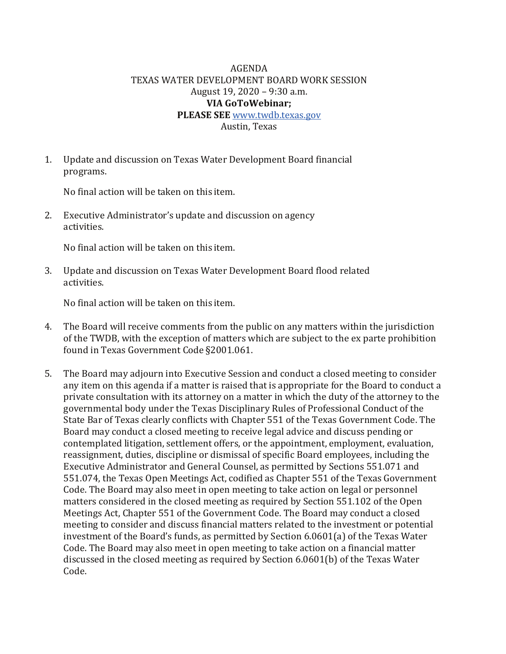## AGENDA TEXAS WATER DEVELOPMENT BOARD WORK SESSION August 19, 2020 – 9:30 a.m. **VIA GoToWebinar; PLEASE SEE** [www.twdb.texas.gov](http://www.twdb.texas.gov/)

Austin, Texas

1. Update and discussion on Texas Water Development Board financial programs.

No final action will be taken on this item.

2. Executive Administrator's update and discussion on agency activities.

No final action will be taken on this item.

3. Update and discussion on Texas Water Development Board flood related activities.

No final action will be taken on this item.

- 4. The Board will receive comments from the public on any matters within the jurisdiction of the TWDB, with the exception of matters which are subject to the ex parte prohibition found in Texas Government Code §2001.061.
- 5. The Board may adjourn into Executive Session and conduct a closed meeting to consider any item on this agenda if a matter is raised that is appropriate for the Board to conduct a private consultation with its attorney on a matter in which the duty of the attorney to the governmental body under the Texas Disciplinary Rules of Professional Conduct of the State Bar of Texas clearly conflicts with Chapter 551 of the Texas Government Code. The Board may conduct a closed meeting to receive legal advice and discuss pending or contemplated litigation, settlement offers, or the appointment, employment, evaluation, reassignment, duties, discipline or dismissal of specific Board employees, including the Executive Administrator and General Counsel, as permitted by Sections 551.071 and 551.074, the Texas Open Meetings Act, codified as Chapter 551 of the Texas Government Code. The Board may also meet in open meeting to take action on legal or personnel matters considered in the closed meeting as required by Section 551.102 of the Open Meetings Act, Chapter 551 of the Government Code. The Board may conduct a closed meeting to consider and discuss financial matters related to the investment or potential investment of the Board's funds, as permitted by Section 6.0601(a) of the Texas Water Code. The Board may also meet in open meeting to take action on a financial matter discussed in the closed meeting as required by Section 6.0601(b) of the Texas Water Code.